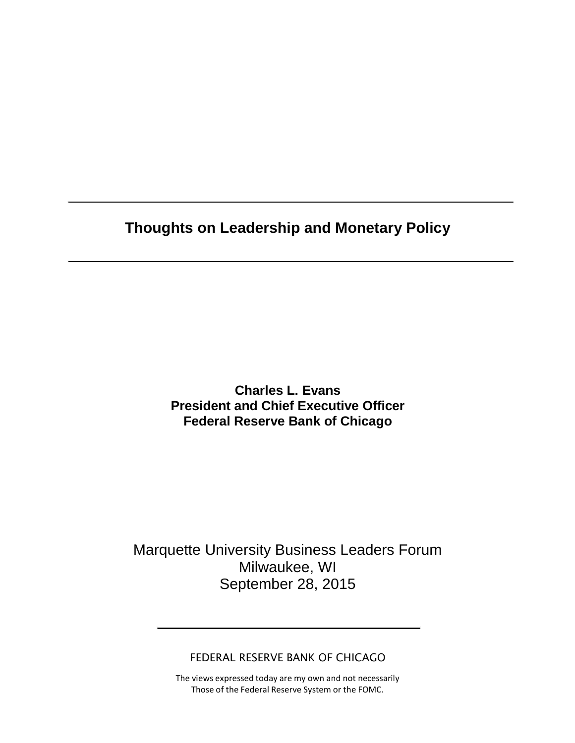**Thoughts on Leadership and Monetary Policy**

**Charles L. Evans President and Chief Executive Officer Federal Reserve Bank of Chicago**

Marquette University Business Leaders Forum Milwaukee, WI September 28, 2015

FEDERAL RESERVE BANK OF CHICAGO

The views expressed today are my own and not necessarily Those of the Federal Reserve System or the FOMC.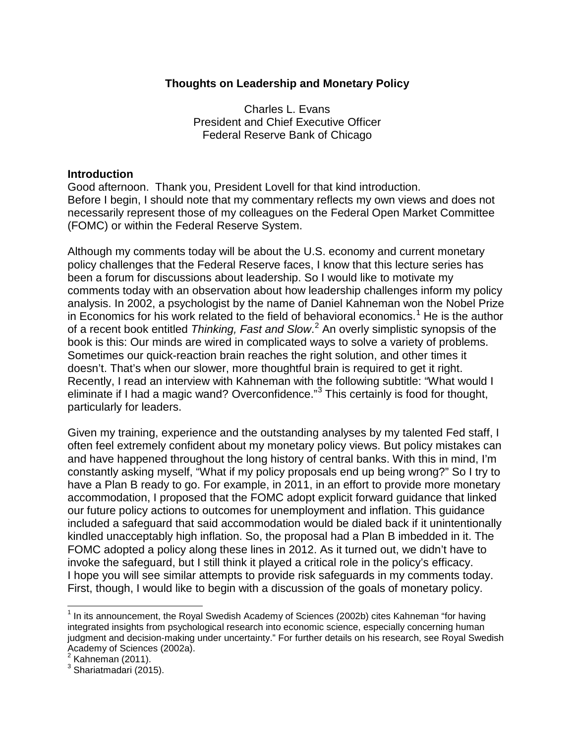# **Thoughts on Leadership and Monetary Policy**

Charles L. Evans President and Chief Executive Officer Federal Reserve Bank of Chicago

## **Introduction**

Good afternoon. Thank you, President Lovell for that kind introduction. Before I begin, I should note that my commentary reflects my own views and does not necessarily represent those of my colleagues on the Federal Open Market Committee (FOMC) or within the Federal Reserve System.

Although my comments today will be about the U.S. economy and current monetary policy challenges that the Federal Reserve faces, I know that this lecture series has been a forum for discussions about leadership. So I would like to motivate my comments today with an observation about how leadership challenges inform my policy analysis. In 2002, a psychologist by the name of Daniel Kahneman won the Nobel Prize in Economics for his work related to the field of behavioral economics.<sup>[1](#page-1-0)</sup> He is the author of a recent book entitled *Thinking, Fast and Slow*. [2](#page-1-1) An overly simplistic synopsis of the book is this: Our minds are wired in complicated ways to solve a variety of problems. Sometimes our quick-reaction brain reaches the right solution, and other times it doesn't. That's when our slower, more thoughtful brain is required to get it right. Recently, I read an interview with Kahneman with the following subtitle: "What would I eliminate if I had a magic wand? Overconfidence."<sup>[3](#page-1-2)</sup> This certainly is food for thought, particularly for leaders.

Given my training, experience and the outstanding analyses by my talented Fed staff, I often feel extremely confident about my monetary policy views. But policy mistakes can and have happened throughout the long history of central banks. With this in mind, I'm constantly asking myself, "What if my policy proposals end up being wrong?" So I try to have a Plan B ready to go. For example, in 2011, in an effort to provide more monetary accommodation, I proposed that the FOMC adopt explicit forward guidance that linked our future policy actions to outcomes for unemployment and inflation. This guidance included a safeguard that said accommodation would be dialed back if it unintentionally kindled unacceptably high inflation. So, the proposal had a Plan B imbedded in it. The FOMC adopted a policy along these lines in 2012. As it turned out, we didn't have to invoke the safeguard, but I still think it played a critical role in the policy's efficacy. I hope you will see similar attempts to provide risk safeguards in my comments today. First, though, I would like to begin with a discussion of the goals of monetary policy.

<span id="page-1-0"></span> $<sup>1</sup>$  In its announcement, the Royal Swedish Academy of Sciences (2002b) cites Kahneman "for having</sup> integrated insights from psychological research into economic science, especially concerning human judgment and decision-making under uncertainty." For further details on his research, see Royal Swedish Academy of Sciences (2002a).<br><sup>2</sup> Kahneman (2011).

<span id="page-1-1"></span>

<span id="page-1-2"></span> $3$  Shariatmadari (2015).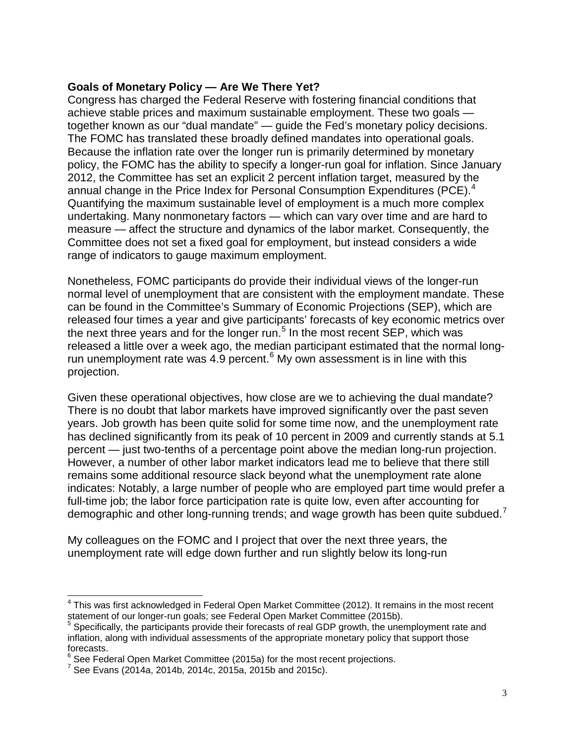## **Goals of Monetary Policy — Are We There Yet?**

Congress has charged the Federal Reserve with fostering financial conditions that achieve stable prices and maximum sustainable employment. These two goals together known as our "dual mandate" — guide the Fed's monetary policy decisions. The FOMC has translated these broadly defined mandates into operational goals. Because the inflation rate over the longer run is primarily determined by monetary policy, the FOMC has the ability to specify a longer-run goal for inflation. Since January 2012, the Committee has set an explicit 2 percent inflation target, measured by the annual change in the Price Index for Personal Consumption Expenditures (PCE).<sup>[4](#page-2-0)</sup> Quantifying the maximum sustainable level of employment is a much more complex undertaking. Many nonmonetary factors — which can vary over time and are hard to measure — affect the structure and dynamics of the labor market. Consequently, the Committee does not set a fixed goal for employment, but instead considers a wide range of indicators to gauge maximum employment.

Nonetheless, FOMC participants do provide their individual views of the longer-run normal level of unemployment that are consistent with the employment mandate. These can be found in the Committee's Summary of Economic Projections (SEP), which are released four times a year and give participants' forecasts of key economic metrics over the next three years and for the longer run.<sup>[5](#page-2-1)</sup> In the most recent SEP, which was released a little over a week ago, the median participant estimated that the normal longrun unemployment rate was  $4.9$  percent.<sup>[6](#page-2-2)</sup> My own assessment is in line with this projection.

Given these operational objectives, how close are we to achieving the dual mandate? There is no doubt that labor markets have improved significantly over the past seven years. Job growth has been quite solid for some time now, and the unemployment rate has declined significantly from its peak of 10 percent in 2009 and currently stands at 5.1 percent — just two-tenths of a percentage point above the median long-run projection. However, a number of other labor market indicators lead me to believe that there still remains some additional resource slack beyond what the unemployment rate alone indicates: Notably, a large number of people who are employed part time would prefer a full-time job; the labor force participation rate is quite low, even after accounting for demographic and other long-running trends; and wage growth has been quite subdued.<sup>[7](#page-2-3)</sup>

My colleagues on the FOMC and I project that over the next three years, the unemployment rate will edge down further and run slightly below its long-run

<span id="page-2-0"></span> $^4$  This was first acknowledged in Federal Open Market Committee (2012). It remains in the most recent statement of our longer-run goals; see Federal Open Market Committee (2015b).<br><sup>5</sup> Specifically, the participants provide their forecasts of real GDP growth, the unemployment rate and

<span id="page-2-1"></span>inflation, along with individual assessments of the appropriate monetary policy that support those forecasts.

<span id="page-2-2"></span> $\frac{6}{6}$  See Federal Open Market Committee (2015a) for the most recent projections.<br>7 See Evans (2014a, 2014b, 2014c, 2015a, 2015b and 2015c).

<span id="page-2-3"></span>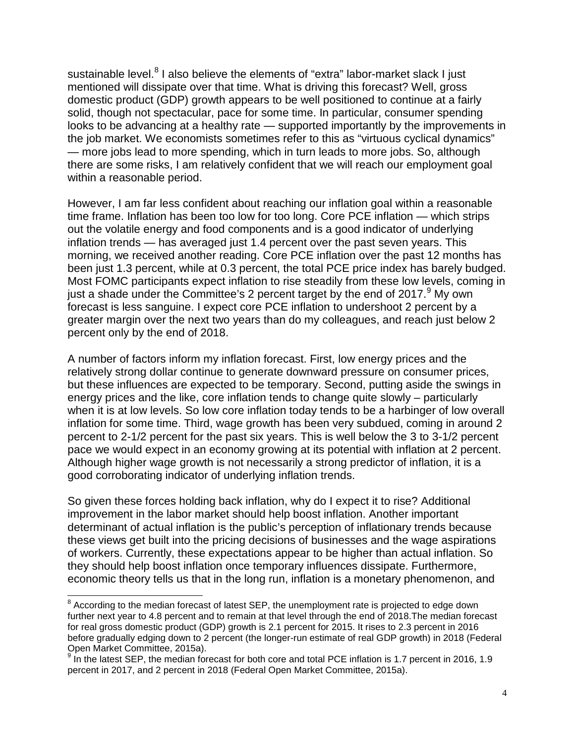sustainable level.<sup>[8](#page-3-0)</sup> I also believe the elements of "extra" labor-market slack I just mentioned will dissipate over that time. What is driving this forecast? Well, gross domestic product (GDP) growth appears to be well positioned to continue at a fairly solid, though not spectacular, pace for some time. In particular, consumer spending looks to be advancing at a healthy rate — supported importantly by the improvements in the job market. We economists sometimes refer to this as "virtuous cyclical dynamics" — more jobs lead to more spending, which in turn leads to more jobs. So, although there are some risks, I am relatively confident that we will reach our employment goal within a reasonable period.

However, I am far less confident about reaching our inflation goal within a reasonable time frame. Inflation has been too low for too long. Core PCE inflation — which strips out the volatile energy and food components and is a good indicator of underlying inflation trends — has averaged just 1.4 percent over the past seven years. This morning, we received another reading. Core PCE inflation over the past 12 months has been just 1.3 percent, while at 0.3 percent, the total PCE price index has barely budged. Most FOMC participants expect inflation to rise steadily from these low levels, coming in just a shade under the Committee's 2 percent target by the end of 2017.  $9$  My own forecast is less sanguine. I expect core PCE inflation to undershoot 2 percent by a greater margin over the next two years than do my colleagues, and reach just below 2 percent only by the end of 2018.

A number of factors inform my inflation forecast. First, low energy prices and the relatively strong dollar continue to generate downward pressure on consumer prices, but these influences are expected to be temporary. Second, putting aside the swings in energy prices and the like, core inflation tends to change quite slowly – particularly when it is at low levels. So low core inflation today tends to be a harbinger of low overall inflation for some time. Third, wage growth has been very subdued, coming in around 2 percent to 2-1/2 percent for the past six years. This is well below the 3 to 3-1/2 percent pace we would expect in an economy growing at its potential with inflation at 2 percent. Although higher wage growth is not necessarily a strong predictor of inflation, it is a good corroborating indicator of underlying inflation trends.

So given these forces holding back inflation, why do I expect it to rise? Additional improvement in the labor market should help boost inflation. Another important determinant of actual inflation is the public's perception of inflationary trends because these views get built into the pricing decisions of businesses and the wage aspirations of workers. Currently, these expectations appear to be higher than actual inflation. So they should help boost inflation once temporary influences dissipate. Furthermore, economic theory tells us that in the long run, inflation is a monetary phenomenon, and

<span id="page-3-0"></span> $^8$  According to the median forecast of latest SEP, the unemployment rate is projected to edge down further next year to 4.8 percent and to remain at that level through the end of 2018.The median forecast for real gross domestic product (GDP) growth is 2.1 percent for 2015. It rises to 2.3 percent in 2016 before gradually edging down to 2 percent (the longer-run estimate of real GDP growth) in 2018 (Federal Open Market Committee, 2015a).

<span id="page-3-1"></span> $9$  In the latest SEP, the median forecast for both core and total PCE inflation is 1.7 percent in 2016, 1.9 percent in 2017, and 2 percent in 2018 (Federal Open Market Committee, 2015a).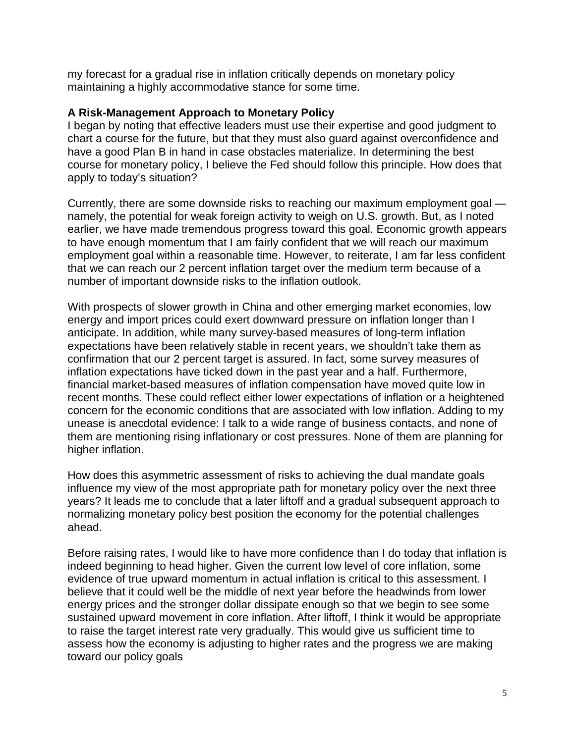my forecast for a gradual rise in inflation critically depends on monetary policy maintaining a highly accommodative stance for some time.

#### **A Risk-Management Approach to Monetary Policy**

I began by noting that effective leaders must use their expertise and good judgment to chart a course for the future, but that they must also guard against overconfidence and have a good Plan B in hand in case obstacles materialize. In determining the best course for monetary policy, I believe the Fed should follow this principle. How does that apply to today's situation?

Currently, there are some downside risks to reaching our maximum employment goal namely, the potential for weak foreign activity to weigh on U.S. growth. But, as I noted earlier, we have made tremendous progress toward this goal. Economic growth appears to have enough momentum that I am fairly confident that we will reach our maximum employment goal within a reasonable time. However, to reiterate, I am far less confident that we can reach our 2 percent inflation target over the medium term because of a number of important downside risks to the inflation outlook.

With prospects of slower growth in China and other emerging market economies, low energy and import prices could exert downward pressure on inflation longer than I anticipate. In addition, while many survey-based measures of long-term inflation expectations have been relatively stable in recent years, we shouldn't take them as confirmation that our 2 percent target is assured. In fact, some survey measures of inflation expectations have ticked down in the past year and a half. Furthermore, financial market-based measures of inflation compensation have moved quite low in recent months. These could reflect either lower expectations of inflation or a heightened concern for the economic conditions that are associated with low inflation. Adding to my unease is anecdotal evidence: I talk to a wide range of business contacts, and none of them are mentioning rising inflationary or cost pressures. None of them are planning for higher inflation.

How does this asymmetric assessment of risks to achieving the dual mandate goals influence my view of the most appropriate path for monetary policy over the next three years? It leads me to conclude that a later liftoff and a gradual subsequent approach to normalizing monetary policy best position the economy for the potential challenges ahead.

Before raising rates, I would like to have more confidence than I do today that inflation is indeed beginning to head higher. Given the current low level of core inflation, some evidence of true upward momentum in actual inflation is critical to this assessment. I believe that it could well be the middle of next year before the headwinds from lower energy prices and the stronger dollar dissipate enough so that we begin to see some sustained upward movement in core inflation. After liftoff, I think it would be appropriate to raise the target interest rate very gradually. This would give us sufficient time to assess how the economy is adjusting to higher rates and the progress we are making toward our policy goals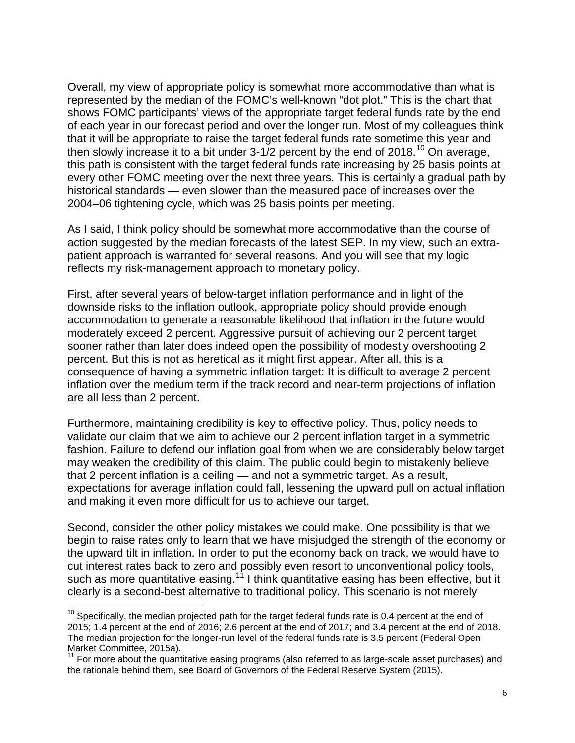Overall, my view of appropriate policy is somewhat more accommodative than what is represented by the median of the FOMC's well-known "dot plot." This is the chart that shows FOMC participants' views of the appropriate target federal funds rate by the end of each year in our forecast period and over the longer run. Most of my colleagues think that it will be appropriate to raise the target federal funds rate sometime this year and then slowly increase it to a bit under  $3-1/2$  percent by the end of 2018.<sup>[10](#page-5-0)</sup> On average, this path is consistent with the target federal funds rate increasing by 25 basis points at every other FOMC meeting over the next three years. This is certainly a gradual path by historical standards — even slower than the measured pace of increases over the 2004–06 tightening cycle, which was 25 basis points per meeting.

As I said, I think policy should be somewhat more accommodative than the course of action suggested by the median forecasts of the latest SEP. In my view, such an extrapatient approach is warranted for several reasons. And you will see that my logic reflects my risk-management approach to monetary policy.

First, after several years of below-target inflation performance and in light of the downside risks to the inflation outlook, appropriate policy should provide enough accommodation to generate a reasonable likelihood that inflation in the future would moderately exceed 2 percent. Aggressive pursuit of achieving our 2 percent target sooner rather than later does indeed open the possibility of modestly overshooting 2 percent. But this is not as heretical as it might first appear. After all, this is a consequence of having a symmetric inflation target: It is difficult to average 2 percent inflation over the medium term if the track record and near-term projections of inflation are all less than 2 percent.

Furthermore, maintaining credibility is key to effective policy. Thus, policy needs to validate our claim that we aim to achieve our 2 percent inflation target in a symmetric fashion. Failure to defend our inflation goal from when we are considerably below target may weaken the credibility of this claim. The public could begin to mistakenly believe that 2 percent inflation is a ceiling — and not a symmetric target. As a result, expectations for average inflation could fall, lessening the upward pull on actual inflation and making it even more difficult for us to achieve our target.

Second, consider the other policy mistakes we could make. One possibility is that we begin to raise rates only to learn that we have misjudged the strength of the economy or the upward tilt in inflation. In order to put the economy back on track, we would have to cut interest rates back to zero and possibly even resort to unconventional policy tools, such as more quantitative easing.<sup>[11](#page-5-1)</sup> I think quantitative easing has been effective, but it clearly is a second-best alternative to traditional policy. This scenario is not merely

<span id="page-5-0"></span> $10$  Specifically, the median projected path for the target federal funds rate is 0.4 percent at the end of 2015; 1.4 percent at the end of 2016; 2.6 percent at the end of 2017; and 3.4 percent at the end of 2018. The median projection for the longer-run level of the federal funds rate is 3.5 percent (Federal Open Market Committee, 2015a).

<span id="page-5-1"></span><sup>&</sup>lt;sup>11</sup> For more about the quantitative easing programs (also referred to as large-scale asset purchases) and the rationale behind them, see Board of Governors of the Federal Reserve System (2015).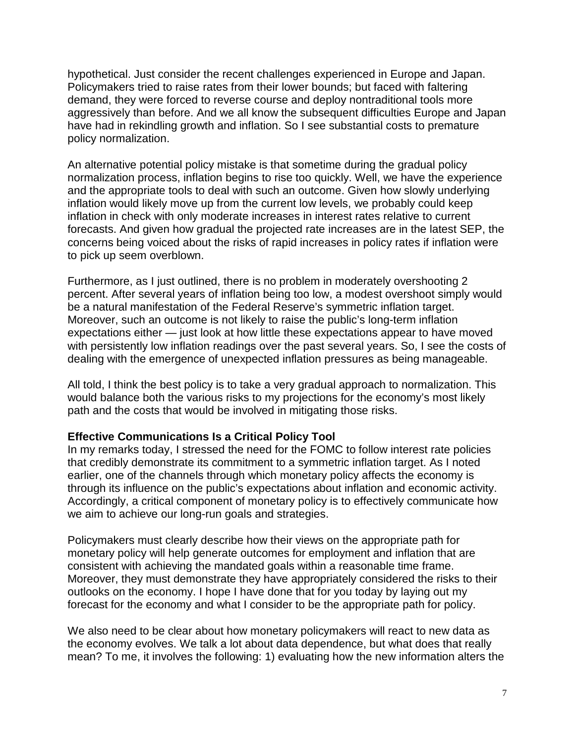hypothetical. Just consider the recent challenges experienced in Europe and Japan. Policymakers tried to raise rates from their lower bounds; but faced with faltering demand, they were forced to reverse course and deploy nontraditional tools more aggressively than before. And we all know the subsequent difficulties Europe and Japan have had in rekindling growth and inflation. So I see substantial costs to premature policy normalization.

An alternative potential policy mistake is that sometime during the gradual policy normalization process, inflation begins to rise too quickly. Well, we have the experience and the appropriate tools to deal with such an outcome. Given how slowly underlying inflation would likely move up from the current low levels, we probably could keep inflation in check with only moderate increases in interest rates relative to current forecasts. And given how gradual the projected rate increases are in the latest SEP, the concerns being voiced about the risks of rapid increases in policy rates if inflation were to pick up seem overblown.

Furthermore, as I just outlined, there is no problem in moderately overshooting 2 percent. After several years of inflation being too low, a modest overshoot simply would be a natural manifestation of the Federal Reserve's symmetric inflation target. Moreover, such an outcome is not likely to raise the public's long-term inflation expectations either — just look at how little these expectations appear to have moved with persistently low inflation readings over the past several years. So, I see the costs of dealing with the emergence of unexpected inflation pressures as being manageable.

All told, I think the best policy is to take a very gradual approach to normalization. This would balance both the various risks to my projections for the economy's most likely path and the costs that would be involved in mitigating those risks.

# **Effective Communications Is a Critical Policy Tool**

In my remarks today, I stressed the need for the FOMC to follow interest rate policies that credibly demonstrate its commitment to a symmetric inflation target. As I noted earlier, one of the channels through which monetary policy affects the economy is through its influence on the public's expectations about inflation and economic activity. Accordingly, a critical component of monetary policy is to effectively communicate how we aim to achieve our long-run goals and strategies.

Policymakers must clearly describe how their views on the appropriate path for monetary policy will help generate outcomes for employment and inflation that are consistent with achieving the mandated goals within a reasonable time frame. Moreover, they must demonstrate they have appropriately considered the risks to their outlooks on the economy. I hope I have done that for you today by laying out my forecast for the economy and what I consider to be the appropriate path for policy.

We also need to be clear about how monetary policymakers will react to new data as the economy evolves. We talk a lot about data dependence, but what does that really mean? To me, it involves the following: 1) evaluating how the new information alters the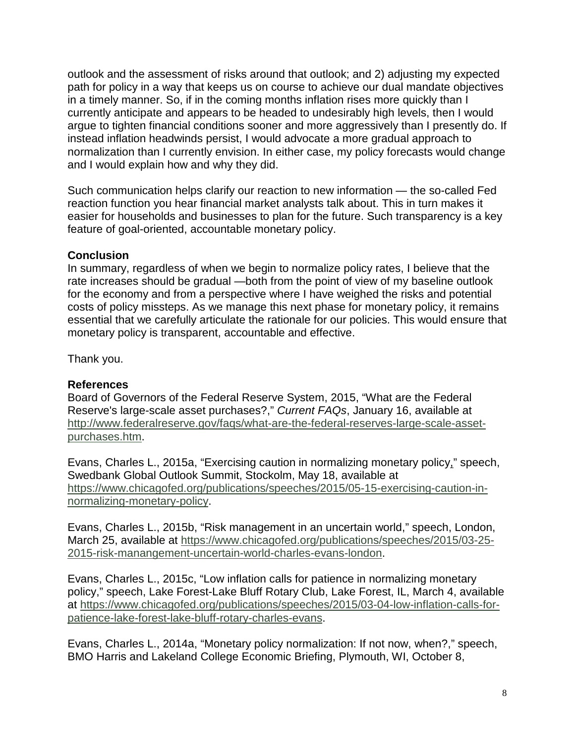outlook and the assessment of risks around that outlook; and 2) adjusting my expected path for policy in a way that keeps us on course to achieve our dual mandate objectives in a timely manner. So, if in the coming months inflation rises more quickly than I currently anticipate and appears to be headed to undesirably high levels, then I would argue to tighten financial conditions sooner and more aggressively than I presently do. If instead inflation headwinds persist, I would advocate a more gradual approach to normalization than I currently envision. In either case, my policy forecasts would change and I would explain how and why they did.

Such communication helps clarify our reaction to new information — the so-called Fed reaction function you hear financial market analysts talk about. This in turn makes it easier for households and businesses to plan for the future. Such transparency is a key feature of goal-oriented, accountable monetary policy.

# **Conclusion**

In summary, regardless of when we begin to normalize policy rates, I believe that the rate increases should be gradual —both from the point of view of my baseline outlook for the economy and from a perspective where I have weighed the risks and potential costs of policy missteps. As we manage this next phase for monetary policy, it remains essential that we carefully articulate the rationale for our policies. This would ensure that monetary policy is transparent, accountable and effective.

Thank you.

# **References**

Board of Governors of the Federal Reserve System, 2015, "What are the Federal Reserve's large-scale asset purchases?," *Current FAQs*, January 16, available at [http://www.federalreserve.gov/faqs/what-are-the-federal-reserves-large-scale-asset](http://www.federalreserve.gov/faqs/what-are-the-federal-reserves-large-scale-asset-purchases.htm)[purchases.htm.](http://www.federalreserve.gov/faqs/what-are-the-federal-reserves-large-scale-asset-purchases.htm)

Evans, Charles L., 2015a, "Exercising caution in normalizing monetary policy," speech, Swedbank Global Outlook Summit, Stockolm, May 18, available at [https://www.chicagofed.org/publications/speeches/2015/05-15-exercising-caution-in](https://www.chicagofed.org/publications/speeches/2015/05-15-exercising-caution-in-normalizing-monetary-policy)[normalizing-monetary-policy.](https://www.chicagofed.org/publications/speeches/2015/05-15-exercising-caution-in-normalizing-monetary-policy)

Evans, Charles L., 2015b, "Risk management in an uncertain world," speech, London, March 25, available at [https://www.chicagofed.org/publications/speeches/2015/03-25-](https://www.chicagofed.org/publications/speeches/2015/03-25-2015-risk-manangement-uncertain-world-charles-evans-london) [2015-risk-manangement-uncertain-world-charles-evans-london.](https://www.chicagofed.org/publications/speeches/2015/03-25-2015-risk-manangement-uncertain-world-charles-evans-london)

Evans, Charles L., 2015c, "Low inflation calls for patience in normalizing monetary policy," speech, Lake Forest-Lake Bluff Rotary Club, Lake Forest, IL, March 4, available at [https://www.chicagofed.org/publications/speeches/2015/03-04-low-inflation-calls-for](https://www.chicagofed.org/publications/speeches/2015/03-04-low-inflation-calls-for-patience-lake-forest-lake-bluff-rotary-charles-evans)[patience-lake-forest-lake-bluff-rotary-charles-evans.](https://www.chicagofed.org/publications/speeches/2015/03-04-low-inflation-calls-for-patience-lake-forest-lake-bluff-rotary-charles-evans)

Evans, Charles L., 2014a, "Monetary policy normalization: If not now, when?," speech, BMO Harris and Lakeland College Economic Briefing, Plymouth, WI, October 8,